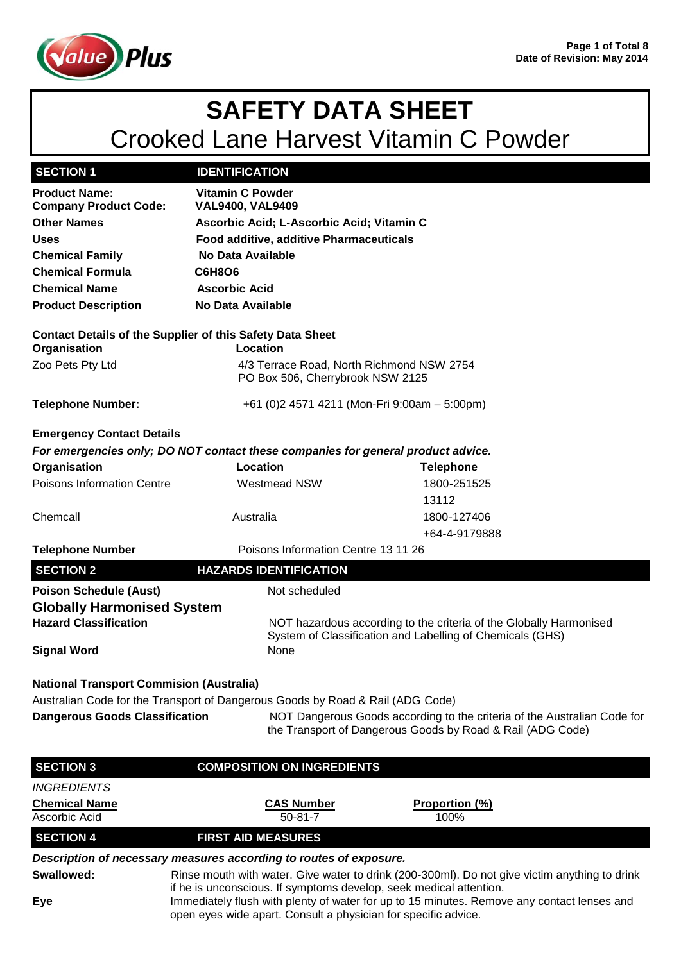

| <b>SECTION 1</b>                                                                 | <b>IDENTIFICATION</b>                     |                                                                                                                                        |
|----------------------------------------------------------------------------------|-------------------------------------------|----------------------------------------------------------------------------------------------------------------------------------------|
| <b>Product Name:</b>                                                             | <b>Vitamin C Powder</b>                   |                                                                                                                                        |
| <b>Company Product Code:</b>                                                     | <b>VAL9400, VAL9409</b>                   |                                                                                                                                        |
| <b>Other Names</b>                                                               | Ascorbic Acid; L-Ascorbic Acid; Vitamin C |                                                                                                                                        |
| <b>Uses</b>                                                                      | Food additive, additive Pharmaceuticals   |                                                                                                                                        |
| <b>Chemical Family</b>                                                           | No Data Available                         |                                                                                                                                        |
| <b>Chemical Formula</b>                                                          | <b>C6H8O6</b>                             |                                                                                                                                        |
| <b>Chemical Name</b>                                                             | <b>Ascorbic Acid</b>                      |                                                                                                                                        |
| <b>Product Description</b>                                                       | <b>No Data Available</b>                  |                                                                                                                                        |
| <b>Contact Details of the Supplier of this Safety Data Sheet</b><br>Organisation | Location                                  |                                                                                                                                        |
| Zoo Pets Pty Ltd                                                                 | PO Box 506, Cherrybrook NSW 2125          | 4/3 Terrace Road, North Richmond NSW 2754                                                                                              |
| <b>Telephone Number:</b>                                                         |                                           | +61 (0) 2 4571 4211 (Mon-Fri 9:00am - 5:00pm)                                                                                          |
| <b>Emergency Contact Details</b>                                                 |                                           |                                                                                                                                        |
| For emergencies only; DO NOT contact these companies for general product advice. |                                           |                                                                                                                                        |
| Organisation                                                                     | Location                                  | <b>Telephone</b>                                                                                                                       |
| Poisons Information Centre                                                       | <b>Westmead NSW</b>                       | 1800-251525                                                                                                                            |
|                                                                                  |                                           | 13112                                                                                                                                  |
| Chemcall                                                                         | Australia                                 | 1800-127406                                                                                                                            |
|                                                                                  |                                           | +64-4-9179888                                                                                                                          |
| <b>Telephone Number</b>                                                          | Poisons Information Centre 13 11 26       |                                                                                                                                        |
| <b>SECTION 2</b>                                                                 | <b>HAZARDS IDENTIFICATION</b>             |                                                                                                                                        |
| <b>Poison Schedule (Aust)</b>                                                    | Not scheduled                             |                                                                                                                                        |
| <b>Globally Harmonised System</b>                                                |                                           |                                                                                                                                        |
| <b>Hazard Classification</b>                                                     |                                           | NOT hazardous according to the criteria of the Globally Harmonised                                                                     |
|                                                                                  |                                           | System of Classification and Labelling of Chemicals (GHS)                                                                              |
| <b>Signal Word</b>                                                               | None                                      |                                                                                                                                        |
| <b>National Transport Commision (Australia)</b>                                  |                                           |                                                                                                                                        |
| Australian Code for the Transport of Dangerous Goods by Road & Rail (ADG Code)   |                                           |                                                                                                                                        |
| <b>Dangerous Goods Classification</b>                                            |                                           | NOT Dangerous Goods according to the criteria of the Australian Code for<br>the Transport of Dangerous Goods by Road & Rail (ADG Code) |
| <b>SECTION 3</b>                                                                 | <b>COMPOSITION ON INGREDIENTS</b>         |                                                                                                                                        |
| <i><b>INGREDIENTS</b></i>                                                        |                                           |                                                                                                                                        |
| <b>Chemical Name</b>                                                             | <b>CAS Number</b>                         | <u>Proportion (%)</u>                                                                                                                  |
| Ascorbic Acid                                                                    | $50 - 81 - 7$                             | 100%                                                                                                                                   |
| <b>SECTION 4</b>                                                                 | <b>FIRST AID MEASURES</b>                 |                                                                                                                                        |
| Description of necessary measures according to routes of exposure.               |                                           |                                                                                                                                        |

**Swallowed:** Rinse mouth with water. Give water to drink (200-300ml). Do not give victim anything to drink if he is unconscious. If symptoms develop, seek medical attention.

**Eye** Immediately flush with plenty of water for up to 15 minutes. Remove any contact lenses and open eyes wide apart. Consult a physician for specific advice.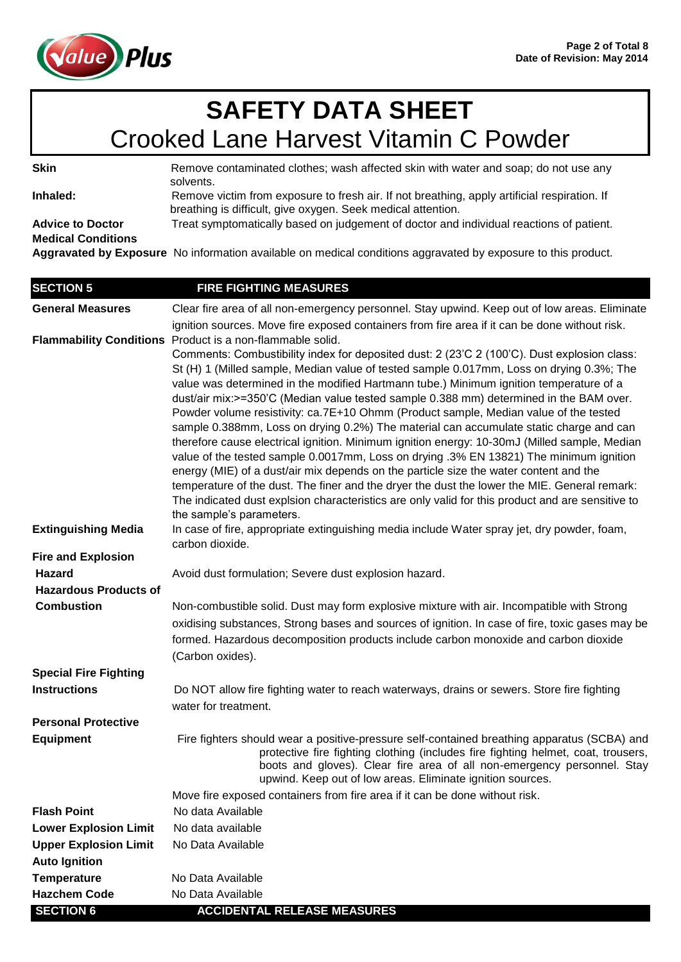

**Skin** Remove contaminated clothes; wash affected skin with water and soap; do not use any solvents.

Inhaled: Remove victim from exposure to fresh air. If not breathing, apply artificial respiration. If breathing is difficult, give oxygen. Seek medical attention.

**Advice to Doctor** Treat symptomatically based on judgement of doctor and individual reactions of patient. **Medical Conditions** 

**Aggravated by Exposure** No information available on medical conditions aggravated by exposure to this product.

| <b>SECTION 5</b>                                     | <b>FIRE FIGHTING MEASURES</b>                                                                                                                                                                    |
|------------------------------------------------------|--------------------------------------------------------------------------------------------------------------------------------------------------------------------------------------------------|
| <b>General Measures</b>                              | Clear fire area of all non-emergency personnel. Stay upwind. Keep out of low areas. Eliminate                                                                                                    |
|                                                      | ignition sources. Move fire exposed containers from fire area if it can be done without risk.                                                                                                    |
|                                                      | Flammability Conditions Product is a non-flammable solid.                                                                                                                                        |
|                                                      | Comments: Combustibility index for deposited dust: 2 (23'C 2 (100'C). Dust explosion class:                                                                                                      |
|                                                      | St (H) 1 (Milled sample, Median value of tested sample 0.017mm, Loss on drying 0.3%; The                                                                                                         |
|                                                      | value was determined in the modified Hartmann tube.) Minimum ignition temperature of a<br>dust/air mix:>=350'C (Median value tested sample 0.388 mm) determined in the BAM over.                 |
|                                                      | Powder volume resistivity: ca.7E+10 Ohmm (Product sample, Median value of the tested                                                                                                             |
|                                                      | sample 0.388mm, Loss on drying 0.2%) The material can accumulate static charge and can                                                                                                           |
|                                                      | therefore cause electrical ignition. Minimum ignition energy: 10-30mJ (Milled sample, Median                                                                                                     |
|                                                      | value of the tested sample 0.0017mm, Loss on drying .3% EN 13821) The minimum ignition                                                                                                           |
|                                                      | energy (MIE) of a dust/air mix depends on the particle size the water content and the                                                                                                            |
|                                                      | temperature of the dust. The finer and the dryer the dust the lower the MIE. General remark:<br>The indicated dust explsion characteristics are only valid for this product and are sensitive to |
|                                                      | the sample's parameters.                                                                                                                                                                         |
| <b>Extinguishing Media</b>                           | In case of fire, appropriate extinguishing media include Water spray jet, dry powder, foam,                                                                                                      |
|                                                      | carbon dioxide.                                                                                                                                                                                  |
| <b>Fire and Explosion</b>                            |                                                                                                                                                                                                  |
| Hazard                                               | Avoid dust formulation; Severe dust explosion hazard.                                                                                                                                            |
| <b>Hazardous Products of</b>                         |                                                                                                                                                                                                  |
| <b>Combustion</b>                                    | Non-combustible solid. Dust may form explosive mixture with air. Incompatible with Strong                                                                                                        |
|                                                      | oxidising substances, Strong bases and sources of ignition. In case of fire, toxic gases may be                                                                                                  |
|                                                      | formed. Hazardous decomposition products include carbon monoxide and carbon dioxide                                                                                                              |
|                                                      | (Carbon oxides).                                                                                                                                                                                 |
| <b>Special Fire Fighting</b>                         |                                                                                                                                                                                                  |
| <b>Instructions</b>                                  | Do NOT allow fire fighting water to reach waterways, drains or sewers. Store fire fighting                                                                                                       |
|                                                      | water for treatment.                                                                                                                                                                             |
| <b>Personal Protective</b>                           |                                                                                                                                                                                                  |
| <b>Equipment</b>                                     | Fire fighters should wear a positive-pressure self-contained breathing apparatus (SCBA) and<br>protective fire fighting clothing (includes fire fighting helmet, coat, trousers,                 |
|                                                      | boots and gloves). Clear fire area of all non-emergency personnel. Stay                                                                                                                          |
|                                                      | upwind. Keep out of low areas. Eliminate ignition sources.                                                                                                                                       |
|                                                      | Move fire exposed containers from fire area if it can be done without risk.                                                                                                                      |
| <b>Flash Point</b>                                   | No data Available                                                                                                                                                                                |
| <b>Lower Explosion Limit</b>                         | No data available                                                                                                                                                                                |
| <b>Upper Explosion Limit</b><br><b>Auto Ignition</b> | No Data Available                                                                                                                                                                                |
| <b>Temperature</b>                                   | No Data Available                                                                                                                                                                                |
| <b>Hazchem Code</b>                                  | No Data Available                                                                                                                                                                                |
| <b>SECTION 6</b>                                     | <b>ACCIDENTAL RELEASE MEASURES</b>                                                                                                                                                               |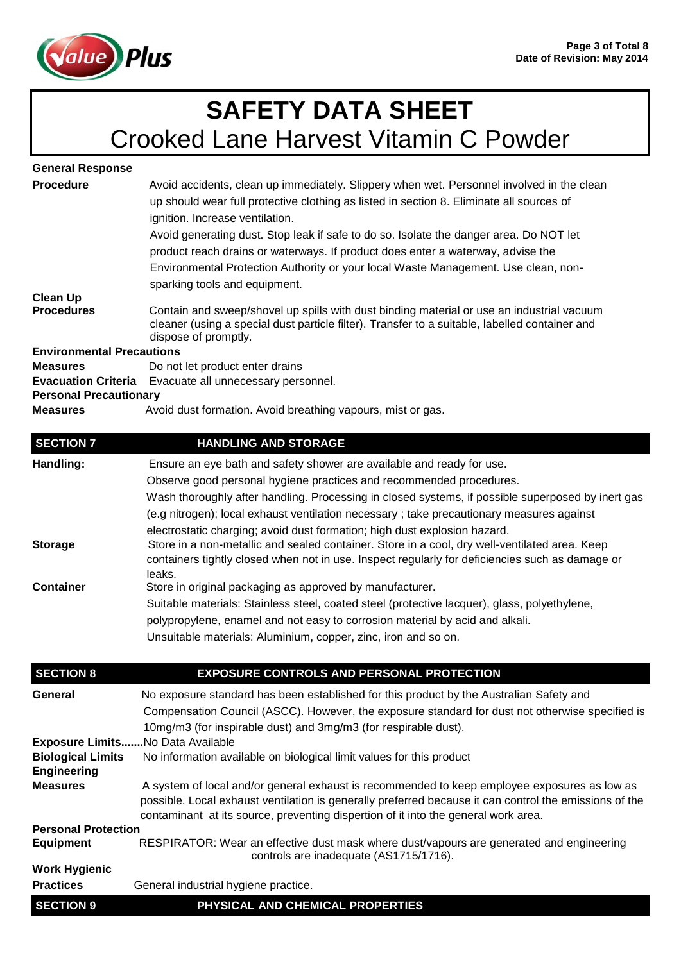

| <b>General Response</b>          |                                                                                                                                                                                                                                                                                                                                                                                                                                                                                             |
|----------------------------------|---------------------------------------------------------------------------------------------------------------------------------------------------------------------------------------------------------------------------------------------------------------------------------------------------------------------------------------------------------------------------------------------------------------------------------------------------------------------------------------------|
| <b>Procedure</b>                 | Avoid accidents, clean up immediately. Slippery when wet. Personnel involved in the clean<br>up should wear full protective clothing as listed in section 8. Eliminate all sources of<br>ignition. Increase ventilation.<br>Avoid generating dust. Stop leak if safe to do so. Isolate the danger area. Do NOT let<br>product reach drains or waterways. If product does enter a waterway, advise the<br>Environmental Protection Authority or your local Waste Management. Use clean, non- |
|                                  | sparking tools and equipment.                                                                                                                                                                                                                                                                                                                                                                                                                                                               |
| <b>Clean Up</b>                  |                                                                                                                                                                                                                                                                                                                                                                                                                                                                                             |
| <b>Procedures</b>                | Contain and sweep/shovel up spills with dust binding material or use an industrial vacuum<br>cleaner (using a special dust particle filter). Transfer to a suitable, labelled container and<br>dispose of promptly.                                                                                                                                                                                                                                                                         |
| <b>Environmental Precautions</b> |                                                                                                                                                                                                                                                                                                                                                                                                                                                                                             |
| <b>Measures</b>                  | Do not let product enter drains                                                                                                                                                                                                                                                                                                                                                                                                                                                             |
|                                  | Evacuation Criteria Evacuate all unnecessary personnel.                                                                                                                                                                                                                                                                                                                                                                                                                                     |
| <b>Personal Precautionary</b>    |                                                                                                                                                                                                                                                                                                                                                                                                                                                                                             |
| <b>Measures</b>                  | Avoid dust formation. Avoid breathing vapours, mist or gas.                                                                                                                                                                                                                                                                                                                                                                                                                                 |

| <b>SECTION 7</b> | <b>HANDLING AND STORAGE</b>                                                                                                                                                                                |
|------------------|------------------------------------------------------------------------------------------------------------------------------------------------------------------------------------------------------------|
| Handling:        | Ensure an eye bath and safety shower are available and ready for use.                                                                                                                                      |
|                  | Observe good personal hygiene practices and recommended procedures.                                                                                                                                        |
|                  | Wash thoroughly after handling. Processing in closed systems, if possible superposed by inert gas                                                                                                          |
|                  | (e.g nitrogen); local exhaust ventilation necessary; take precautionary measures against                                                                                                                   |
|                  | electrostatic charging; avoid dust formation; high dust explosion hazard.                                                                                                                                  |
| <b>Storage</b>   | Store in a non-metallic and sealed container. Store in a cool, dry well-ventilated area. Keep<br>containers tightly closed when not in use. Inspect regularly for deficiencies such as damage or<br>leaks. |
| <b>Container</b> | Store in original packaging as approved by manufacturer.                                                                                                                                                   |
|                  | Suitable materials: Stainless steel, coated steel (protective lacquer), glass, polyethylene,                                                                                                               |
|                  | polypropylene, enamel and not easy to corrosion material by acid and alkali.                                                                                                                               |
|                  | Unsuitable materials: Aluminium, copper, zinc, iron and so on.                                                                                                                                             |
|                  |                                                                                                                                                                                                            |

| <b>SECTION 8</b>           | <b>EXPOSURE CONTROLS AND PERSONAL PROTECTION</b>                                                                                                                                                                                                                                             |
|----------------------------|----------------------------------------------------------------------------------------------------------------------------------------------------------------------------------------------------------------------------------------------------------------------------------------------|
| General                    | No exposure standard has been established for this product by the Australian Safety and                                                                                                                                                                                                      |
|                            | Compensation Council (ASCC). However, the exposure standard for dust not otherwise specified is                                                                                                                                                                                              |
|                            | 10mg/m3 (for inspirable dust) and 3mg/m3 (for respirable dust).                                                                                                                                                                                                                              |
| <b>Exposure Limits</b>     | No Data Available                                                                                                                                                                                                                                                                            |
| <b>Biological Limits</b>   | No information available on biological limit values for this product                                                                                                                                                                                                                         |
| <b>Engineering</b>         |                                                                                                                                                                                                                                                                                              |
| <b>Measures</b>            | A system of local and/or general exhaust is recommended to keep employee exposures as low as<br>possible. Local exhaust ventilation is generally preferred because it can control the emissions of the<br>contaminant at its source, preventing dispertion of it into the general work area. |
| <b>Personal Protection</b> |                                                                                                                                                                                                                                                                                              |
| <b>Equipment</b>           | RESPIRATOR: Wear an effective dust mask where dust/vapours are generated and engineering<br>controls are inadequate (AS1715/1716).                                                                                                                                                           |
| <b>Work Hygienic</b>       |                                                                                                                                                                                                                                                                                              |
| <b>Practices</b>           | General industrial hygiene practice.                                                                                                                                                                                                                                                         |
| <b>SECTION 9</b>           | PHYSICAL AND CHEMICAL PROPERTIES                                                                                                                                                                                                                                                             |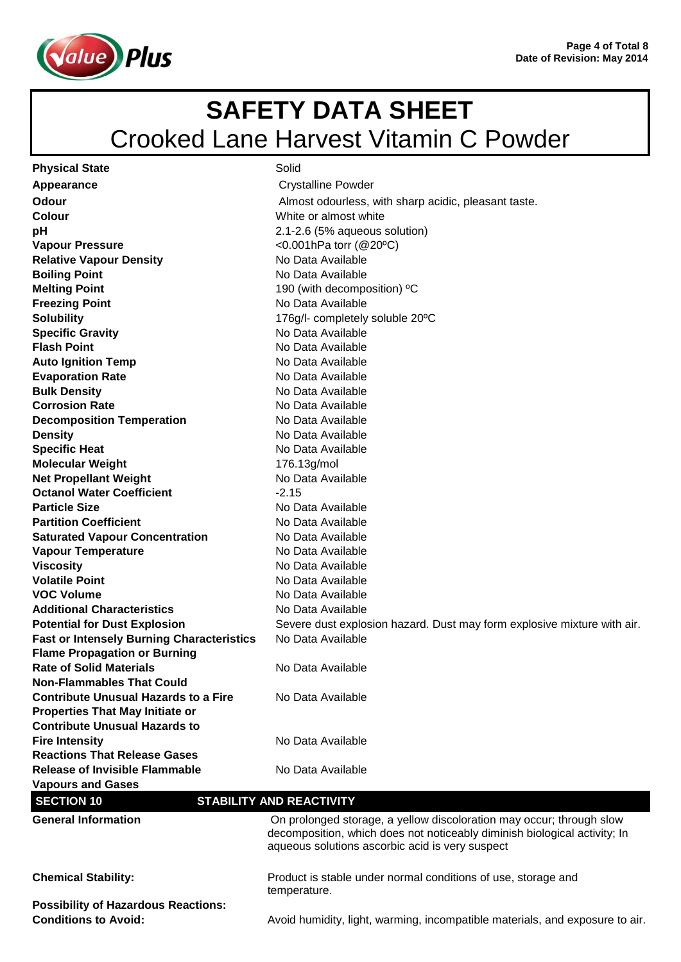



| <b>Physical State</b>                                                           | Solid                                                                                                                                                                                                |
|---------------------------------------------------------------------------------|------------------------------------------------------------------------------------------------------------------------------------------------------------------------------------------------------|
| Appearance                                                                      | <b>Crystalline Powder</b>                                                                                                                                                                            |
| Odour                                                                           | Almost odourless, with sharp acidic, pleasant taste.                                                                                                                                                 |
| Colour                                                                          | White or almost white                                                                                                                                                                                |
| pH                                                                              | 2.1-2.6 (5% aqueous solution)                                                                                                                                                                        |
| <b>Vapour Pressure</b>                                                          | <0.001hPa torr $(@20°C)$                                                                                                                                                                             |
| <b>Relative Vapour Density</b>                                                  | No Data Available                                                                                                                                                                                    |
| <b>Boiling Point</b>                                                            | No Data Available                                                                                                                                                                                    |
| <b>Melting Point</b>                                                            | 190 (with decomposition) °C                                                                                                                                                                          |
| <b>Freezing Point</b>                                                           | No Data Available                                                                                                                                                                                    |
| <b>Solubility</b>                                                               | 176g/l- completely soluble 20°C                                                                                                                                                                      |
| <b>Specific Gravity</b>                                                         | No Data Available                                                                                                                                                                                    |
| <b>Flash Point</b>                                                              | No Data Available                                                                                                                                                                                    |
| <b>Auto Ignition Temp</b>                                                       | No Data Available                                                                                                                                                                                    |
| <b>Evaporation Rate</b>                                                         | No Data Available                                                                                                                                                                                    |
| <b>Bulk Density</b>                                                             | No Data Available                                                                                                                                                                                    |
| <b>Corrosion Rate</b>                                                           | No Data Available                                                                                                                                                                                    |
| <b>Decomposition Temperation</b>                                                | No Data Available                                                                                                                                                                                    |
| <b>Density</b>                                                                  | No Data Available                                                                                                                                                                                    |
| <b>Specific Heat</b>                                                            | No Data Available                                                                                                                                                                                    |
| <b>Molecular Weight</b>                                                         | 176.13g/mol                                                                                                                                                                                          |
| <b>Net Propellant Weight</b>                                                    | No Data Available                                                                                                                                                                                    |
| <b>Octanol Water Coefficient</b>                                                | $-2.15$                                                                                                                                                                                              |
| <b>Particle Size</b>                                                            | No Data Available                                                                                                                                                                                    |
| <b>Partition Coefficient</b>                                                    | No Data Available                                                                                                                                                                                    |
| <b>Saturated Vapour Concentration</b>                                           | No Data Available                                                                                                                                                                                    |
| <b>Vapour Temperature</b>                                                       | No Data Available                                                                                                                                                                                    |
| <b>Viscosity</b>                                                                | No Data Available                                                                                                                                                                                    |
| <b>Volatile Point</b>                                                           | No Data Available                                                                                                                                                                                    |
| <b>VOC Volume</b>                                                               | No Data Available                                                                                                                                                                                    |
| <b>Additional Characteristics</b>                                               | No Data Available                                                                                                                                                                                    |
| <b>Potential for Dust Explosion</b>                                             | Severe dust explosion hazard. Dust may form explosive mixture with air.                                                                                                                              |
| <b>Fast or Intensely Burning Characteristics</b>                                | No Data Available                                                                                                                                                                                    |
| <b>Flame Propagation or Burning</b>                                             |                                                                                                                                                                                                      |
| <b>Rate of Solid Materials</b>                                                  | No Data Available                                                                                                                                                                                    |
| <b>Non-Flammables That Could</b><br><b>Contribute Unusual Hazards to a Fire</b> |                                                                                                                                                                                                      |
|                                                                                 | No Data Available                                                                                                                                                                                    |
| <b>Properties That May Initiate or</b><br><b>Contribute Unusual Hazards to</b>  |                                                                                                                                                                                                      |
| <b>Fire Intensity</b>                                                           | No Data Available                                                                                                                                                                                    |
| <b>Reactions That Release Gases</b>                                             |                                                                                                                                                                                                      |
| <b>Release of Invisible Flammable</b>                                           | No Data Available                                                                                                                                                                                    |
| <b>Vapours and Gases</b>                                                        |                                                                                                                                                                                                      |
| <b>SECTION 10</b>                                                               | <b>STABILITY AND REACTIVITY</b>                                                                                                                                                                      |
|                                                                                 |                                                                                                                                                                                                      |
| <b>General Information</b>                                                      | On prolonged storage, a yellow discoloration may occur; through slow<br>decomposition, which does not noticeably diminish biological activity; In<br>aqueous solutions ascorbic acid is very suspect |
| <b>Chemical Stability:</b>                                                      | Product is stable under normal conditions of use, storage and<br>temperature.                                                                                                                        |
| <b>Possibility of Hazardous Reactions:</b>                                      |                                                                                                                                                                                                      |
| <b>Conditions to Avoid:</b>                                                     | Avoid humidity, light, warming, incompatible materials, and exposure to air.                                                                                                                         |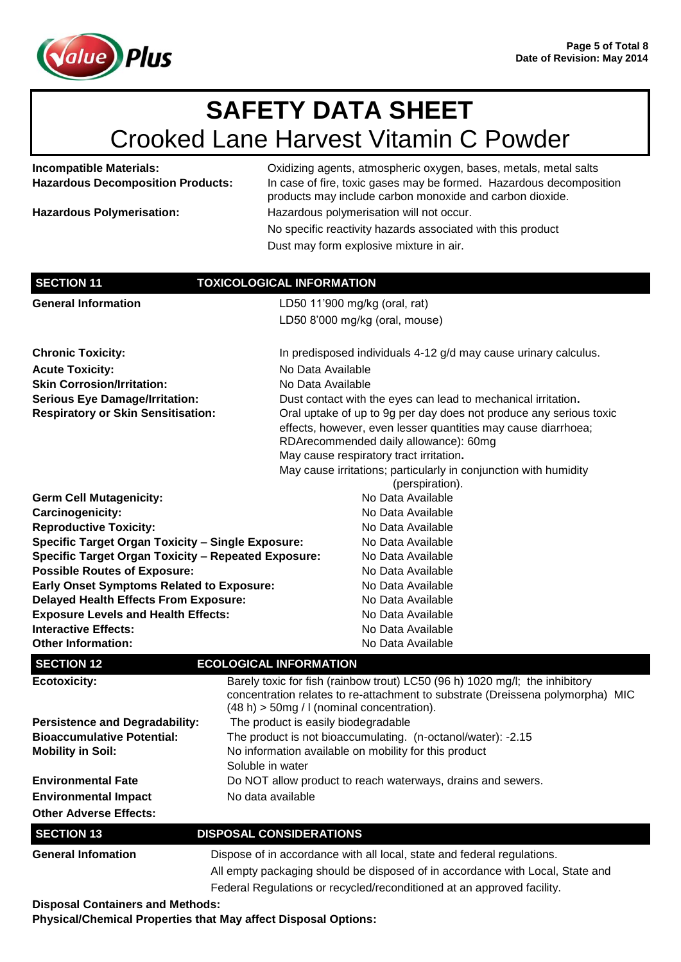

**Incompatible Materials:** Oxidizing agents, atmospheric oxygen, bases, metals, metal salts **Hazardous Decomposition Products:** In case of fire, toxic gases may be formed. Hazardous decomposition

|                                                            | products may include carbon monoxide and carbon dioxide.                                                                                                                                                    |
|------------------------------------------------------------|-------------------------------------------------------------------------------------------------------------------------------------------------------------------------------------------------------------|
| <b>Hazardous Polymerisation:</b>                           | Hazardous polymerisation will not occur.                                                                                                                                                                    |
|                                                            | No specific reactivity hazards associated with this product                                                                                                                                                 |
|                                                            | Dust may form explosive mixture in air.                                                                                                                                                                     |
|                                                            |                                                                                                                                                                                                             |
| <b>SECTION 11</b>                                          | <b>TOXICOLOGICAL INFORMATION</b>                                                                                                                                                                            |
| <b>General Information</b>                                 | LD50 11'900 mg/kg (oral, rat)                                                                                                                                                                               |
|                                                            | LD50 8'000 mg/kg (oral, mouse)                                                                                                                                                                              |
| <b>Chronic Toxicity:</b>                                   | In predisposed individuals 4-12 g/d may cause urinary calculus.                                                                                                                                             |
| <b>Acute Toxicity:</b>                                     | No Data Available                                                                                                                                                                                           |
| <b>Skin Corrosion/Irritation:</b>                          | No Data Available                                                                                                                                                                                           |
| <b>Serious Eye Damage/Irritation:</b>                      | Dust contact with the eyes can lead to mechanical irritation.                                                                                                                                               |
| <b>Respiratory or Skin Sensitisation:</b>                  | Oral uptake of up to 9g per day does not produce any serious toxic                                                                                                                                          |
|                                                            | effects, however, even lesser quantities may cause diarrhoea;<br>RDArecommended daily allowance): 60mg                                                                                                      |
|                                                            | May cause respiratory tract irritation.                                                                                                                                                                     |
|                                                            | May cause irritations; particularly in conjunction with humidity<br>(perspiration).                                                                                                                         |
| <b>Germ Cell Mutagenicity:</b>                             | No Data Available                                                                                                                                                                                           |
| Carcinogenicity:                                           | No Data Available                                                                                                                                                                                           |
| <b>Reproductive Toxicity:</b>                              | No Data Available                                                                                                                                                                                           |
| <b>Specific Target Organ Toxicity - Single Exposure:</b>   | No Data Available                                                                                                                                                                                           |
| <b>Specific Target Organ Toxicity - Repeated Exposure:</b> | No Data Available                                                                                                                                                                                           |
| <b>Possible Routes of Exposure:</b>                        | No Data Available                                                                                                                                                                                           |
| <b>Early Onset Symptoms Related to Exposure:</b>           | No Data Available                                                                                                                                                                                           |
| <b>Delayed Health Effects From Exposure:</b>               | No Data Available                                                                                                                                                                                           |
| <b>Exposure Levels and Health Effects:</b>                 | No Data Available                                                                                                                                                                                           |
| <b>Interactive Effects:</b><br><b>Other Information:</b>   | No Data Available<br>No Data Available                                                                                                                                                                      |
|                                                            |                                                                                                                                                                                                             |
| <b>SECTION 12</b>                                          | <b>ECOLOGICAL INFORMATION</b>                                                                                                                                                                               |
| <b>Ecotoxicity:</b>                                        | Barely toxic for fish (rainbow trout) LC50 (96 h) 1020 mg/l; the inhibitory<br>concentration relates to re-attachment to substrate (Dreissena polymorpha) MIC<br>(48 h) > 50mg / I (nominal concentration). |
| <b>Persistence and Degradability:</b>                      | The product is easily biodegradable                                                                                                                                                                         |
| <b>Bioaccumulative Potential:</b>                          | The product is not bioaccumulating. (n-octanol/water): -2.15                                                                                                                                                |
| <b>Mobility in Soil:</b>                                   | No information available on mobility for this product                                                                                                                                                       |
|                                                            | Soluble in water                                                                                                                                                                                            |
| <b>Environmental Fate</b>                                  | Do NOT allow product to reach waterways, drains and sewers.                                                                                                                                                 |
| <b>Environmental Impact</b>                                | No data available                                                                                                                                                                                           |
| <b>Other Adverse Effects:</b>                              |                                                                                                                                                                                                             |
| <b>SECTION 13</b>                                          | <b>DISPOSAL CONSIDERATIONS</b>                                                                                                                                                                              |
| <b>General Infomation</b>                                  | Dispose of in accordance with all local, state and federal regulations.                                                                                                                                     |
|                                                            | All empty packaging should be disposed of in accordance with Local, State and                                                                                                                               |
|                                                            | Federal Regulations or recycled/reconditioned at an approved facility.                                                                                                                                      |

**Disposal Containers and Methods:**

**Physical/Chemical Properties that May affect Disposal Options:**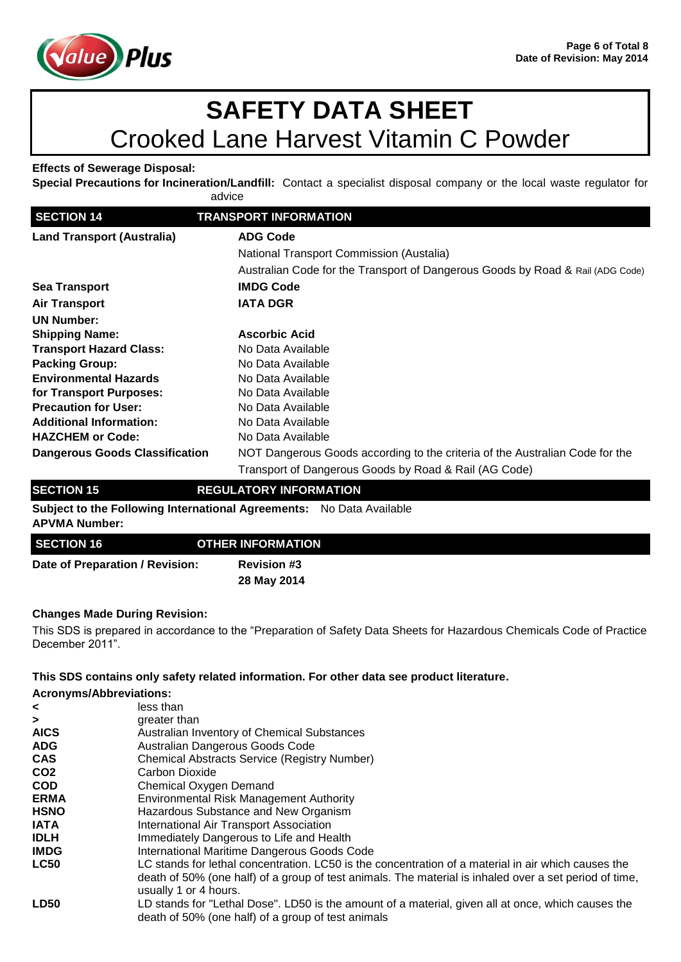

### **Effects of Sewerage Disposal:**

**Special Precautions for Incineration/Landfill:** Contact a specialist disposal company or the local waste regulator for advice

| <b>SECTION 14</b>                     | <b>TRANSPORT INFORMATION</b>                                                   |
|---------------------------------------|--------------------------------------------------------------------------------|
| <b>Land Transport (Australia)</b>     | <b>ADG Code</b>                                                                |
|                                       | National Transport Commission (Austalia)                                       |
|                                       | Australian Code for the Transport of Dangerous Goods by Road & Rail (ADG Code) |
| <b>Sea Transport</b>                  | <b>IMDG Code</b>                                                               |
| <b>Air Transport</b>                  | <b>IATA DGR</b>                                                                |
| <b>UN Number:</b>                     |                                                                                |
| <b>Shipping Name:</b>                 | <b>Ascorbic Acid</b>                                                           |
| <b>Transport Hazard Class:</b>        | No Data Available                                                              |
| <b>Packing Group:</b>                 | No Data Available                                                              |
| <b>Environmental Hazards</b>          | No Data Available                                                              |
| for Transport Purposes:               | No Data Available                                                              |
| <b>Precaution for User:</b>           | No Data Available                                                              |
| <b>Additional Information:</b>        | No Data Available                                                              |
| <b>HAZCHEM or Code:</b>               | No Data Available                                                              |
| <b>Dangerous Goods Classification</b> | NOT Dangerous Goods according to the criteria of the Australian Code for the   |
|                                       | Transport of Dangerous Goods by Road & Rail (AG Code)                          |

### **SECTION 15 REGULATORY INFORMATION**

**Subject to the Following International Agreements:** No Data Available **APVMA Number:**

| <b>SECTION 16</b>               | <b>OTHER INFORMATION</b> |  |
|---------------------------------|--------------------------|--|
| Date of Preparation / Revision: | <b>Revision #3</b>       |  |
|                                 | 28 May 2014              |  |

### **Changes Made During Revision:**

This SDS is prepared in accordance to the "Preparation of Safety Data Sheets for Hazardous Chemicals Code of Practice December 2011".

### **This SDS contains only safety related information. For other data see product literature.**

| <b>Acronyms/Abbreviations:</b> |                                                                                                                                                                                                                                        |
|--------------------------------|----------------------------------------------------------------------------------------------------------------------------------------------------------------------------------------------------------------------------------------|
| $\prec$                        | less than                                                                                                                                                                                                                              |
| $\geq$                         | greater than                                                                                                                                                                                                                           |
| <b>AICS</b>                    | Australian Inventory of Chemical Substances                                                                                                                                                                                            |
| <b>ADG</b>                     | Australian Dangerous Goods Code                                                                                                                                                                                                        |
| <b>CAS</b>                     | <b>Chemical Abstracts Service (Registry Number)</b>                                                                                                                                                                                    |
| CO <sub>2</sub>                | Carbon Dioxide                                                                                                                                                                                                                         |
| <b>COD</b>                     | Chemical Oxygen Demand                                                                                                                                                                                                                 |
| <b>ERMA</b>                    | <b>Environmental Risk Management Authority</b>                                                                                                                                                                                         |
| <b>HSNO</b>                    | Hazardous Substance and New Organism                                                                                                                                                                                                   |
| <b>IATA</b>                    | International Air Transport Association                                                                                                                                                                                                |
| <b>IDLH</b>                    | Immediately Dangerous to Life and Health                                                                                                                                                                                               |
| <b>IMDG</b>                    | International Maritime Dangerous Goods Code                                                                                                                                                                                            |
| <b>LC50</b>                    | LC stands for lethal concentration. LC50 is the concentration of a material in air which causes the<br>death of 50% (one half) of a group of test animals. The material is inhaled over a set period of time,<br>usually 1 or 4 hours. |
| <b>LD50</b>                    | LD stands for "Lethal Dose". LD50 is the amount of a material, given all at once, which causes the<br>death of 50% (one half) of a group of test animals                                                                               |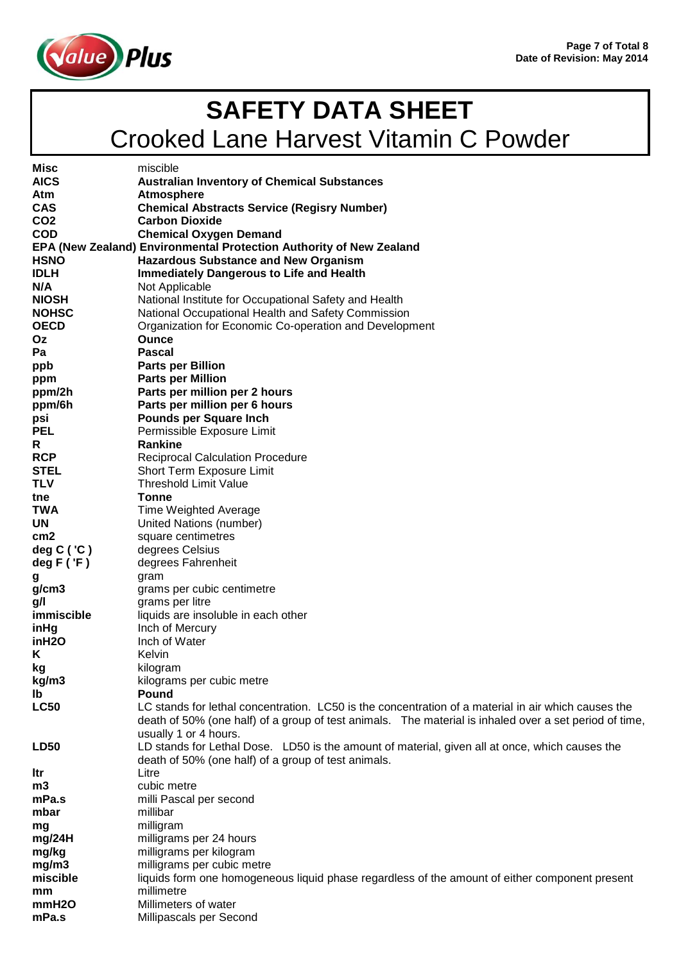

| Misc              | miscible                                                                                                     |
|-------------------|--------------------------------------------------------------------------------------------------------------|
| <b>AICS</b>       | <b>Australian Inventory of Chemical Substances</b>                                                           |
| Atm               | <b>Atmosphere</b>                                                                                            |
| <b>CAS</b>        | <b>Chemical Abstracts Service (Regisry Number)</b>                                                           |
| CO <sub>2</sub>   | <b>Carbon Dioxide</b>                                                                                        |
| <b>COD</b>        | <b>Chemical Oxygen Demand</b>                                                                                |
|                   | EPA (New Zealand) Environmental Protection Authority of New Zealand                                          |
| <b>HSNO</b>       | <b>Hazardous Substance and New Organism</b>                                                                  |
| <b>IDLH</b>       | <b>Immediately Dangerous to Life and Health</b>                                                              |
| N/A               | Not Applicable                                                                                               |
| <b>NIOSH</b>      | National Institute for Occupational Safety and Health                                                        |
| <b>NOHSC</b>      | National Occupational Health and Safety Commission                                                           |
| <b>OECD</b>       | Organization for Economic Co-operation and Development                                                       |
| Oz                | <b>Ounce</b>                                                                                                 |
| Pa                | <b>Pascal</b>                                                                                                |
| ppb               | <b>Parts per Billion</b>                                                                                     |
| ppm               | <b>Parts per Million</b><br>Parts per million per 2 hours                                                    |
| ppm/2h<br>ppm/6h  | Parts per million per 6 hours                                                                                |
| psi               | <b>Pounds per Square Inch</b>                                                                                |
| <b>PEL</b>        | Permissible Exposure Limit                                                                                   |
| R                 | <b>Rankine</b>                                                                                               |
| <b>RCP</b>        | <b>Reciprocal Calculation Procedure</b>                                                                      |
| <b>STEL</b>       | Short Term Exposure Limit                                                                                    |
| <b>TLV</b>        | <b>Threshold Limit Value</b>                                                                                 |
| tne               | <b>Tonne</b>                                                                                                 |
| TWA               | Time Weighted Average                                                                                        |
| <b>UN</b>         | United Nations (number)                                                                                      |
| cm2               | square centimetres                                                                                           |
| deg $C('C')$      | degrees Celsius                                                                                              |
| deg $F('F)$       | degrees Fahrenheit                                                                                           |
| g                 | gram                                                                                                         |
| g/cm3             | grams per cubic centimetre                                                                                   |
| g/l               | grams per litre                                                                                              |
| immiscible        | liquids are insoluble in each other                                                                          |
| inHg              | Inch of Mercury                                                                                              |
| inH2O             | Inch of Water                                                                                                |
| Κ                 | Kelvin                                                                                                       |
| kg                | kilogram                                                                                                     |
| kg/m3             | kilograms per cubic metre                                                                                    |
| Ib<br><b>LC50</b> | Pound<br>LC stands for lethal concentration. LC50 is the concentration of a material in air which causes the |
|                   | death of 50% (one half) of a group of test animals. The material is inhaled over a set period of time,       |
|                   | usually 1 or 4 hours.                                                                                        |
| <b>LD50</b>       | LD stands for Lethal Dose. LD50 is the amount of material, given all at once, which causes the               |
|                   | death of 50% (one half) of a group of test animals.                                                          |
| ltr               | Litre                                                                                                        |
| m3                | cubic metre                                                                                                  |
| mPa.s             | milli Pascal per second                                                                                      |
| mbar              | millibar                                                                                                     |
| mg                | milligram                                                                                                    |
| mg/24H            | milligrams per 24 hours                                                                                      |
| mg/kg             | milligrams per kilogram                                                                                      |
| mg/m3             | milligrams per cubic metre                                                                                   |
| miscible          | liquids form one homogeneous liquid phase regardless of the amount of either component present               |
| mm                | millimetre                                                                                                   |
| mmH <sub>20</sub> | Millimeters of water                                                                                         |
| mPa.s             | Millipascals per Second                                                                                      |